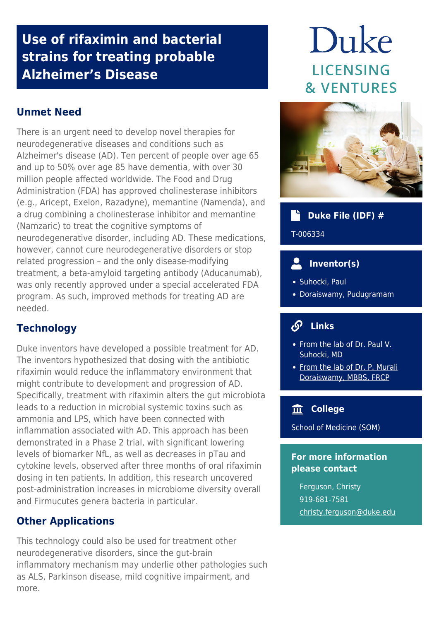## **Use of rifaximin and bacterial strains for treating probable Alzheimer's Disease**

### **Unmet Need**

There is an urgent need to develop novel therapies for neurodegenerative diseases and conditions such as Alzheimer's disease (AD). Ten percent of people over age 65 and up to 50% over age 85 have dementia, with over 30 million people affected worldwide. The Food and Drug Administration (FDA) has approved cholinesterase inhibitors (e.g., Aricept, Exelon, Razadyne), memantine (Namenda), and a drug combining a cholinesterase inhibitor and memantine (Namzaric) to treat the cognitive symptoms of neurodegenerative disorder, including AD. These medications, however, cannot cure neurodegenerative disorders or stop related progression – and the only disease-modifying treatment, a beta-amyloid targeting antibody (Aducanumab), was only recently approved under a special accelerated FDA program. As such, improved methods for treating AD are needed.

#### **Technology**

Duke inventors have developed a possible treatment for AD. The inventors hypothesized that dosing with the antibiotic rifaximin would reduce the inflammatory environment that might contribute to development and progression of AD. Specifically, treatment with rifaximin alters the gut microbiota leads to a reduction in microbial systemic toxins such as ammonia and LPS, which have been connected with inflammation associated with AD. This approach has been demonstrated in a Phase 2 trial, with significant lowering levels of biomarker NfL, as well as decreases in pTau and cytokine levels, observed after three months of oral rifaximin dosing in ten patients. In addition, this research uncovered post-administration increases in microbiome diversity overall and Firmucutes genera bacteria in particular.

#### **Other Applications**

This technology could also be used for treatment other neurodegenerative disorders, since the gut-brain inflammatory mechanism may underlie other pathologies such as ALS, Parkinson disease, mild cognitive impairment, and more.

# Duke **LICENSING & VENTURES**



#### **Duke File (IDF) #**

T-006334

#### **Inventor(s)**

- Suhocki, Paul
- Doraiswamy, Pudugramam

#### $\mathcal{S}$  **Links**

- [From the lab of Dr. Paul V.](https://radiology.duke.edu/faculty/member/paul-v-suhocki/) [Suhocki, MD](https://radiology.duke.edu/faculty/member/paul-v-suhocki/)
- [From the lab of Dr. P. Murali](https://medicine.duke.edu/faculty/p-murali-doraiswamy-mbbs) [Doraiswamy, MBBS, FRCP](https://medicine.duke.edu/faculty/p-murali-doraiswamy-mbbs)

#### **College**

School of Medicine (SOM)

#### **For more information please contact**

Ferguson, Christy 919-681-7581 [christy.ferguson@duke.edu](mailto:christy.ferguson@duke.edu)